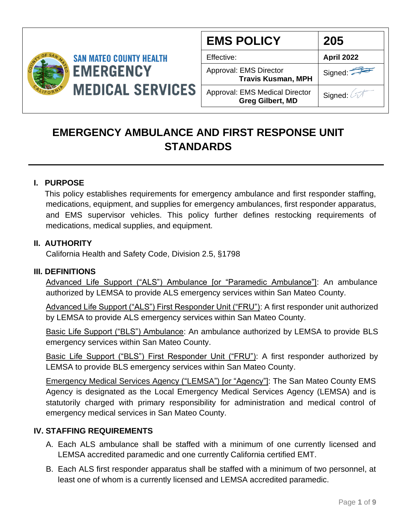

| <b>EMS POLICY</b>                                         | 205               |
|-----------------------------------------------------------|-------------------|
| Effective:                                                | <b>April 2022</b> |
| Approval: EMS Director<br><b>Travis Kusman, MPH</b>       | Signed:           |
| Approval: EMS Medical Director<br><b>Greg Gilbert, MD</b> | Signed: 4         |

### **EMERGENCY AMBULANCE AND FIRST RESPONSE UNIT STANDARDS**

#### **I. PURPOSE**

 This policy establishes requirements for emergency ambulance and first responder staffing, medications, equipment, and supplies for emergency ambulances, first responder apparatus, and EMS supervisor vehicles. This policy further defines restocking requirements of medications, medical supplies, and equipment.

#### **II. AUTHORITY**

California Health and Safety Code, Division 2.5, §1798

#### **III. DEFINITIONS**

Advanced Life Support ("ALS") Ambulance [or "Paramedic Ambulance"]: An ambulance authorized by LEMSA to provide ALS emergency services within San Mateo County.

Advanced Life Support ("ALS") First Responder Unit ("FRU"): A first responder unit authorized by LEMSA to provide ALS emergency services within San Mateo County.

Basic Life Support ("BLS") Ambulance: An ambulance authorized by LEMSA to provide BLS emergency services within San Mateo County.

Basic Life Support ("BLS") First Responder Unit ("FRU"): A first responder authorized by LEMSA to provide BLS emergency services within San Mateo County.

Emergency Medical Services Agency ("LEMSA") [or "Agency"]: The San Mateo County EMS Agency is designated as the Local Emergency Medical Services Agency (LEMSA) and is statutorily charged with primary responsibility for administration and medical control of emergency medical services in San Mateo County.

#### **IV. STAFFING REQUIREMENTS**

- A. Each ALS ambulance shall be staffed with a minimum of one currently licensed and LEMSA accredited paramedic and one currently California certified EMT.
- B. Each ALS first responder apparatus shall be staffed with a minimum of two personnel, at least one of whom is a currently licensed and LEMSA accredited paramedic.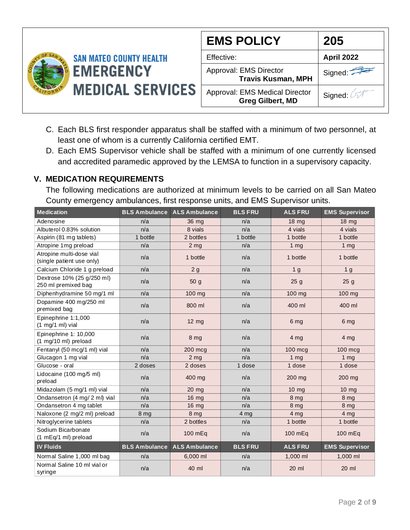

| <b>EMS POLICY</b>                                         | 205               |
|-----------------------------------------------------------|-------------------|
| Effective:                                                | <b>April 2022</b> |
| Approval: EMS Director<br><b>Travis Kusman, MPH</b>       | Signed:           |
| Approval: EMS Medical Director<br><b>Greg Gilbert, MD</b> | Signed: 4         |

- C. Each BLS first responder apparatus shall be staffed with a minimum of two personnel, at least one of whom is a currently California certified EMT.
- D. Each EMS Supervisor vehicle shall be staffed with a minimum of one currently licensed and accredited paramedic approved by the LEMSA to function in a supervisory capacity.

#### **V. MEDICATION REQUIREMENTS**

The following medications are authorized at minimum levels to be carried on all San Mateo County emergency ambulances, first response units, and EMS Supervisor units.

| <b>Medication</b>                                         | <b>BLS Ambulance</b> | <b>ALS Ambulance</b> | <b>BLS FRU</b>  | <b>ALS FRU</b>  | <b>EMS Supervisor</b> |
|-----------------------------------------------------------|----------------------|----------------------|-----------------|-----------------|-----------------------|
| Adenosine                                                 | n/a                  | 36 mg                | n/a             | $18 \text{ mg}$ | $18 \text{ mg}$       |
| Albuterol 0.83% solution                                  | n/a                  | 8 vials              | n/a             | 4 vials         | 4 vials               |
| Aspirin (81 mg tablets)                                   | 1 bottle             | 2 bottles            | 1 bottle        | 1 bottle        | 1 bottle              |
| Atropine 1mg preload                                      | n/a                  | 2 <sub>mg</sub>      | n/a             | 1 <sub>mg</sub> | 1 <sub>mg</sub>       |
| Atropine multi-dose vial<br>(single patient use only)     | n/a                  | 1 bottle             | n/a             | 1 bottle        | 1 bottle              |
| Calcium Chloride 1 g preload                              | n/a                  | 2g                   | n/a             | 1 <sub>g</sub>  | 1 <sub>g</sub>        |
| Dextrose 10% (25 g/250 ml)<br>250 ml premixed bag         | n/a                  | 50 g                 | n/a             | 25 <sub>g</sub> | 25 <sub>g</sub>       |
| Diphenhydramine 50 mg/1 ml                                | n/a                  | 100 mg               | n/a             | 100 mg          | 100 mg                |
| Dopamine 400 mg/250 ml<br>premixed bag                    | n/a                  | 800 ml               | n/a             | 400 ml          | 400 ml                |
| Epinephrine 1:1,000<br>$(1 \text{ mg}/1 \text{ ml})$ vial | n/a                  | $12 \text{ mg}$      | n/a             | 6 mg            | 6 mg                  |
| Epinephrine 1: 10,000<br>(1 mg/10 ml) preload             | n/a                  | 8 <sub>mg</sub>      | n/a             | 4 <sub>mg</sub> | 4 <sub>mg</sub>       |
| Fentanyl (50 mcg/1 ml) vial                               | n/a                  | 200 mcg              | n/a             | 100 mcg         | $100$ mcg             |
| Glucagon 1 mg vial                                        | n/a                  | 2 <sub>mg</sub>      | n/a             | 1 <sub>mg</sub> | 1 <sub>mg</sub>       |
| Glucose - oral                                            | 2 doses              | 2 doses              | 1 dose          | 1 dose          | 1 dose                |
| Lidocaine (100 mg/5 ml)<br>preload                        | n/a                  | 400 mg               | n/a             | 200 mg          | 200 mg                |
| Midazolam (5 mg/1 ml) vial                                | n/a                  | $20$ mg              | n/a             | $10 \text{ mg}$ | $10$ mg               |
| Ondansetron (4 mg/ 2 ml) vial                             | n/a                  | 16 mg                | n/a             | 8 mg            | 8 mg                  |
| Ondansetron 4 mg tablet                                   | n/a                  | 16 mg                | n/a             | 8 mg            | 8 mg                  |
| Naloxone (2 mg/2 ml) preload                              | 8 mg                 | 8 <sub>mg</sub>      | 4 <sub>mg</sub> | 4 <sub>mg</sub> | 4 <sub>mg</sub>       |
| Nitroglycerine tablets                                    | n/a                  | 2 bottles            | n/a             | 1 bottle        | 1 bottle              |
| Sodium Bicarbonate<br>(1 mEq/1 ml) preload                | n/a                  | 100 mEq              | n/a             | 100 mEq         | 100 mEq               |
| <b>IV Fluids</b>                                          | <b>BLS Ambulance</b> | <b>ALS Ambulance</b> | <b>BLS FRU</b>  | <b>ALS FRU</b>  | <b>EMS Supervisor</b> |
| Normal Saline 1,000 ml bag                                | n/a                  | 6,000 ml             | n/a             | 1,000 ml        | 1,000 ml              |
| Normal Saline 10 ml vial or<br>syringe                    | n/a                  | 40 ml                | n/a             | 20 ml           | 20 ml                 |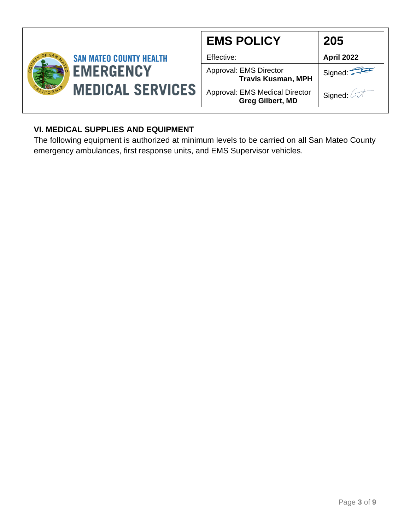

### **VI. MEDICAL SUPPLIES AND EQUIPMENT**

The following equipment is authorized at minimum levels to be carried on all San Mateo County emergency ambulances, first response units, and EMS Supervisor vehicles.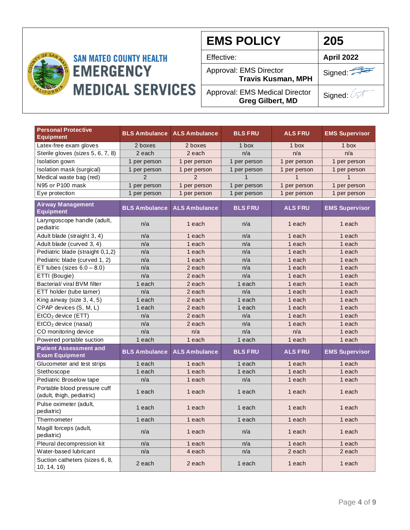

| <b>EMS POLICY</b>                                                | 205               |
|------------------------------------------------------------------|-------------------|
| Effective:                                                       | <b>April 2022</b> |
| Approval: EMS Director<br><b>Travis Kusman, MPH</b>              | Signed:           |
| <b>Approval: EMS Medical Director</b><br><b>Greg Gilbert, MD</b> | Signed: 2         |

| <b>Personal Protective</b><br><b>Equipment</b>            | <b>BLS Ambulance</b> | <b>ALS Ambulance</b>     | <b>BLS FRU</b> | <b>ALS FRU</b> | <b>EMS Supervisor</b> |
|-----------------------------------------------------------|----------------------|--------------------------|----------------|----------------|-----------------------|
| Latex-free exam gloves                                    | 2 boxes              | 2 boxes                  | $1$ box        | 1 box          | 1 box                 |
| Sterile gloves (sizes 5, 6, 7, 8)                         | 2 each               | 2 each                   | n/a            | n/a            | n/a                   |
| Isolation gown                                            | 1 per person         | 1 per person             | 1 per person   | 1 per person   | 1 per person          |
| Isolation mask (surgical)                                 | 1 per person         | 1 per person             | 1 per person   | 1 per person   | 1 per person          |
| Medical waste bag (red)                                   | $\overline{2}$       | $\overline{\phantom{0}}$ | $\mathbf 1$    |                |                       |
| N95 or P100 mask                                          | 1 per person         | 1 per person             | 1 per person   | 1 per person   | 1 per person          |
| Eye protection                                            | 1 per person         | 1 per person             | 1 per person   | 1 per person   | 1 per person          |
| <b>Airway Management</b><br><b>Equipment</b>              | <b>BLS Ambulance</b> | <b>ALS Ambulance</b>     | <b>BLS FRU</b> | <b>ALS FRU</b> | <b>EMS Supervisor</b> |
| Laryngoscope handle (adult,<br>pediatric                  | n/a                  | 1 each                   | n/a            | 1 each         | 1 each                |
| Adult blade (straight 3, 4)                               | n/a                  | 1 each                   | n/a            | 1 each         | 1 each                |
| Adult blade (curved 3, 4)                                 | n/a                  | 1 each                   | n/a            | 1 each         | 1 each                |
| Pediatric blade (straight 0,1,2)                          | n/a                  | 1 each                   | n/a            | 1 each         | 1 each                |
| Pediatric blade (curved 1, 2)                             | n/a                  | 1 each                   | n/a            | 1 each         | 1 each                |
| ET tubes (sizes $6.0 - 8.0$ )                             | n/a                  | 2 each                   | n/a            | 1 each         | 1 each                |
| ETTI (Bougie)                                             | n/a                  | 2 each                   | n/a            | 1 each         | 1 each                |
| Bacterial/ viral BVM filter                               | 1 each               | 2 each                   | 1 each         | 1 each         | 1 each                |
| ETT holder (tube tamer)                                   | n/a                  | 2 each                   | n/a            | 1 each         | 1 each                |
| King airway (size 3, 4, 5)                                | 1 each               | 2 each                   | 1 each         | 1 each         | 1 each                |
| CPAP devices (S, M, L)                                    | 1 each               | 2 each                   | 1 each         | 1 each         | 1 each                |
| EtCO <sub>2</sub> device (ETT)                            | n/a                  | 2 each                   | n/a            | 1 each         | 1 each                |
| $EtCO2$ device (nasal)                                    | n/a                  | 2 each                   | n/a            | 1 each         | 1 each                |
| CO monitoring device                                      | n/a                  | n/a                      | n/a            | n/a            | 1 each                |
| Powered portable suction                                  | 1 each               | 1 each                   | 1 each         | 1 each         | 1 each                |
| <b>Patient Assessment and</b><br><b>Exam Equipment</b>    | <b>BLS Ambulance</b> | <b>ALS Ambulance</b>     | <b>BLS FRU</b> | <b>ALS FRU</b> | <b>EMS Supervisor</b> |
| Glucometer and test strips                                | 1 each               | 1 each                   | 1 each         | 1 each         | 1 each                |
| Stethoscope                                               | 1 each               | 1 each                   | 1 each         | 1 each         | 1 each                |
| Pediatric Broselow tape                                   | n/a                  | 1 each                   | n/a            | 1 each         | 1 each                |
| Portable blood pressure cuff<br>(adult, thigh, pediatric) | 1 each               | 1 each                   | 1 each         | 1 each         | 1 each                |
| Pulse oximeter (adult,<br>pediatric)                      | 1 each               | 1 each                   | 1 each         | 1 each         | 1 each                |
| Thermometer                                               | 1 each               | 1 each                   | 1 each         | 1 each         | 1 each                |
| Magill forceps (adult,<br>pediatric)                      | n/a                  | 1 each                   | n/a            | 1 each         | 1 each                |
| Pleural decompression kit                                 | n/a                  | 1 each                   | n/a            | 1 each         | 1 each                |
| Water-based lubricant                                     | n/a                  | 4 each                   | n/a            | 2 each         | 2 each                |
| Suction catheters (sizes 6, 8,<br>10, 14, 16              | 2 each               | 2 each                   | 1 each         | 1 each         | 1 each                |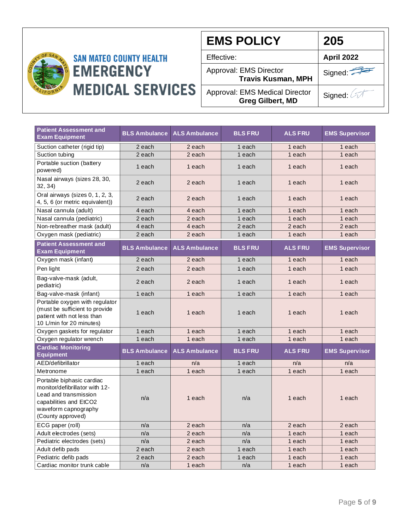

| <b>EMS POLICY</b>                                                | 205               |
|------------------------------------------------------------------|-------------------|
| Effective:                                                       | <b>April 2022</b> |
| Approval: EMS Director<br><b>Travis Kusman, MPH</b>              | Signed:           |
| <b>Approval: EMS Medical Director</b><br><b>Greg Gilbert, MD</b> | Signed: 4         |

| <b>Patient Assessment and</b><br><b>Exam Equipment</b>                                                                                                      | <b>BLS Ambulance</b> | <b>ALS Ambulance</b> | <b>BLS FRU</b> | <b>ALS FRU</b> | <b>EMS Supervisor</b> |
|-------------------------------------------------------------------------------------------------------------------------------------------------------------|----------------------|----------------------|----------------|----------------|-----------------------|
| Suction catheter (rigid tip)                                                                                                                                | 2 each               | 2 each               | 1 each         | 1 each         | 1 each                |
| Suction tubing                                                                                                                                              | 2 each               | 2 each               | 1 each         | 1 each         | 1 each                |
| Portable suction (battery<br>powered)                                                                                                                       | 1 each               | 1 each               | 1 each         | 1 each         | 1 each                |
| Nasal airways (sizes 28, 30,<br>32, 34)                                                                                                                     | 2 each               | 2 each               | 1 each         | 1 each         | 1 each                |
| Oral airways (sizes 0, 1, 2, 3,<br>4, 5, 6 (or metric equivalent))                                                                                          | 2 each               | 2 each               | 1 each         | 1 each         | 1 each                |
| Nasal cannula (adult)                                                                                                                                       | 4 each               | 4 each               | 1 each         | 1 each         | 1 each                |
| Nasal cannula (pediatric)                                                                                                                                   | 2 each               | 2 each               | 1 each         | 1 each         | 1 each                |
| Non-rebreather mask (adult)                                                                                                                                 | 4 each               | 4 each               | 2 each         | 2 each         | 2 each                |
| Oxygen mask (pediatric)                                                                                                                                     | 2 each               | 2 each               | 1 each         | 1 each         | 1 each                |
| <b>Patient Assessment and</b><br><b>Exam Equipment</b>                                                                                                      | <b>BLS Ambulance</b> | <b>ALS Ambulance</b> | <b>BLS FRU</b> | <b>ALS FRU</b> | <b>EMS Supervisor</b> |
| Oxygen mask (infant)                                                                                                                                        | 2 each               | 2 each               | 1 each         | 1 each         | 1 each                |
| Pen light                                                                                                                                                   | 2 each               | 2 each               | 1 each         | 1 each         | 1 each                |
| Bag-valve-mask (adult,<br>pediatric)                                                                                                                        | 2 each               | 2 each               | 1 each         | 1 each         | 1 each                |
| Bag-valve-mask (infant)                                                                                                                                     | 1 each               | 1 each               | 1 each         | 1 each         | 1 each                |
| Portable oxygen with regulator<br>(must be sufficient to provide<br>patient with not less than<br>10 L/min for 20 minutes)                                  | 1 each               | 1 each               | 1 each         | 1 each         | 1 each                |
| Oxygen gaskets for regulator                                                                                                                                | 1 each               | 1 each               | 1 each         | 1 each         | 1 each                |
| Oxygen regulator wrench                                                                                                                                     | 1 each               | 1 each               | 1 each         | 1 each         | 1 each                |
| <b>Cardiac Monitoring</b><br><b>Equipment</b>                                                                                                               | <b>BLS Ambulance</b> | <b>ALS Ambulance</b> | <b>BLS FRU</b> | <b>ALS FRU</b> | <b>EMS Supervisor</b> |
| AED/defibrillator                                                                                                                                           | 1 each               | n/a                  | 1 each         | n/a            | n/a                   |
| Metronome                                                                                                                                                   | 1 each               | 1 each               | 1 each         | 1 each         | 1 each                |
| Portable biphasic cardiac<br>monitor/defibrillator with 12-<br>Lead and transmission<br>capabilities and EtCO2<br>waveform capnography<br>(County approved) | n/a                  | 1 each               | n/a            | 1 each         | 1 each                |
| ECG paper (roll)                                                                                                                                            | n/a                  | 2 each               | n/a            | 2 each         | 2 each                |
| Adult electrodes (sets)                                                                                                                                     | n/a                  | 2 each               | n/a            | 1 each         | 1 each                |
| Pediatric electrodes (sets)                                                                                                                                 | n/a                  | 2 each               | n/a            | 1 each         | 1 each                |
| Adult defib pads                                                                                                                                            | 2 each               | 2 each               | 1 each         | 1 each         | 1 each                |
| Pediatric defib pads                                                                                                                                        | 2 each               | 2 each               | 1 each         | 1 each         | 1 each                |
| Cardiac monitor trunk cable                                                                                                                                 | n/a                  | 1 each               | n/a            | 1 each         | 1 each                |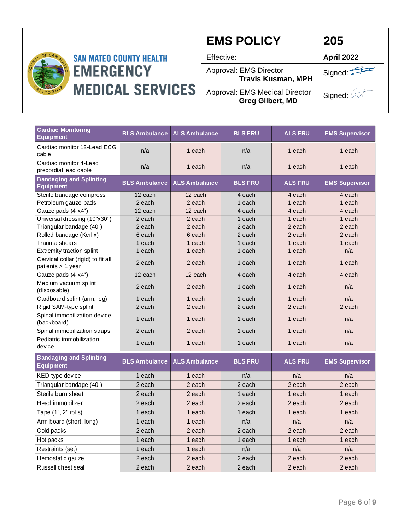

| <b>EMS POLICY</b>                                                | 205               |
|------------------------------------------------------------------|-------------------|
| Effective:                                                       | <b>April 2022</b> |
| Approval: EMS Director<br><b>Travis Kusman, MPH</b>              | Signed:           |
| <b>Approval: EMS Medical Director</b><br><b>Greg Gilbert, MD</b> | Signed: 4         |

| <b>Cardiac Monitoring</b><br><b>Equipment</b>             |                      | <b>BLS Ambulance ALS Ambulance</b> | <b>BLS FRU</b> | <b>ALS FRU</b> | <b>EMS Supervisor</b> |
|-----------------------------------------------------------|----------------------|------------------------------------|----------------|----------------|-----------------------|
| Cardiac monitor 12-Lead ECG<br>cable                      | n/a                  | 1 each                             | n/a            | 1 each         | 1 each                |
| Cardiac monitor 4-Lead<br>precordial lead cable           | n/a                  | 1 each                             | n/a            | 1 each         | 1 each                |
| <b>Bandaging and Splinting</b><br><b>Equipment</b>        | <b>BLS Ambulance</b> | <b>ALS Ambulance</b>               | <b>BLS FRU</b> | <b>ALS FRU</b> | <b>EMS Supervisor</b> |
| Sterile bandage compress                                  | 12 each              | 12 each                            | 4 each         | 4 each         | 4 each                |
| Petroleum gauze pads                                      | 2 each               | 2 each                             | 1 each         | 1 each         | 1 each                |
| Gauze pads (4"x4")                                        | 12 each              | 12 each                            | 4 each         | 4 each         | 4 each                |
| Universal dressing (10"x30")                              | 2 each               | 2 each                             | 1 each         | 1 each         | 1 each                |
| Triangular bandage (40")                                  | 2 each               | 2 each                             | 2 each         | 2 each         | 2 each                |
| Rolled bandage (Kerlix)                                   | 6 each               | 6 each                             | 2 each         | 2 each         | 2 each                |
| Trauma shears                                             | 1 each               | 1 each                             | 1 each         | 1 each         | 1 each                |
| Extremity traction splint                                 | 1 each               | 1 each                             | 1 each         | 1 each         | n/a                   |
| Cervical collar (rigid) to fit all<br>patients $> 1$ year | 2 each               | 2 each                             | 1 each         | 1 each         | 1 each                |
| Gauze pads (4"x4")                                        | 12 each              | 12 each                            | 4 each         | 4 each         | 4 each                |
| Medium vacuum splint<br>(disposable)                      | 2 each               | 2 each                             | 1 each         | 1 each         | n/a                   |
| Cardboard splint (arm, leg)                               | 1 each               | 1 each                             | 1 each         | 1 each         | n/a                   |
| Rigid SAM-type splint                                     | 2 each               | 2 each                             | 2 each         | 2 each         | 2 each                |
| Spinal immobilization device<br>(backboard)               | 1 each               | 1 each                             | 1 each         | 1 each         | n/a                   |
| Spinal immobilization straps                              | 2 each               | 2 each                             | 1 each         | 1 each         | n/a                   |
| Pediatric immobilization<br>device                        | 1 each               | 1 each                             | 1 each         | 1 each         | n/a                   |
| <b>Bandaging and Splinting</b><br><b>Equipment</b>        | <b>BLS Ambulance</b> | <b>ALS Ambulance</b>               | <b>BLS FRU</b> | <b>ALS FRU</b> | <b>EMS Supervisor</b> |
| KED-type device                                           | 1 each               | 1 each                             | n/a            | n/a            | n/a                   |
| Triangular bandage (40")                                  | 2 each               | 2 each                             | 2 each         | 2 each         | 2 each                |
| Sterile burn sheet                                        | 2 each               | 2 each                             | 1 each         | 1 each         | 1 each                |
| Head immobilizer                                          | 2 each               | 2 each                             | 2 each         | 2 each         | 2 each                |
| Tape (1", 2" rolls)                                       | 1 each               | 1 each                             | 1 each         | 1 each         | 1 each                |
| Arm board (short, long)                                   | 1 each               | 1 each                             | n/a            | n/a            | n/a                   |
| Cold packs                                                | 2 each               | 2 each                             | 2 each         | 2 each         | 2 each                |
| Hot packs                                                 | 1 each               | 1 each                             | 1 each         | 1 each         | 1 each                |
| Restraints (set)                                          | 1 each               | 1 each                             | n/a            | n/a            | n/a                   |
| Hemostatic gauze                                          | 2 each               | 2 each                             | 2 each         | 2 each         | 2 each                |
| Russell chest seal                                        | 2 each               | 2 each                             | 2 each         | 2 each         | 2 each                |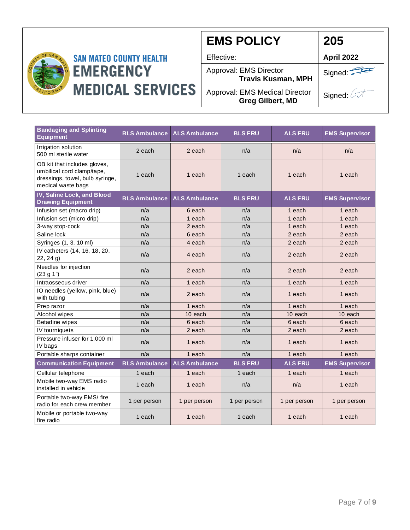

**EMS POLICY** Effective: **April 2022** Approval: EMS Director **Travis Kusman, MPH** Approval: EMS Medical Director **Greg Gilbert, MD** Signed: Signed: 4 **205**

| <b>Bandaging and Splinting</b><br><b>Equipment</b>                                                                  | <b>BLS Ambulance</b> | <b>ALS Ambulance</b> | <b>BLS FRU</b> | <b>ALS FRU</b> | <b>EMS Supervisor</b> |
|---------------------------------------------------------------------------------------------------------------------|----------------------|----------------------|----------------|----------------|-----------------------|
| Irrigation solution<br>500 ml sterile water                                                                         | 2 each               | 2 each               | n/a            | n/a            | n/a                   |
| OB kit that includes gloves,<br>umbilical cord clamp/tape,<br>dressings, towel, bulb syringe,<br>medical waste bags | 1 each               | 1 each               | 1 each         | 1 each         | 1 each                |
| IV, Saline Lock, and Blood<br><b>Drawing Equipment</b>                                                              | <b>BLS Ambulance</b> | <b>ALS Ambulance</b> | <b>BLS FRU</b> | <b>ALS FRU</b> | <b>EMS Supervisor</b> |
| Infusion set (macro drip)                                                                                           | n/a                  | 6 each               | n/a            | 1 each         | 1 each                |
| Infusion set (micro drip)                                                                                           | n/a                  | 1 each               | n/a            | 1 each         | 1 each                |
| 3-way stop-cock                                                                                                     | n/a                  | 2 each               | n/a            | 1 each         | 1 each                |
| Saline lock                                                                                                         | n/a                  | 6 each               | n/a            | 2 each         | 2 each                |
| Syringes (1, 3, 10 ml)                                                                                              | n/a                  | 4 each               | n/a            | 2 each         | 2 each                |
| IV catheters (14, 16, 18, 20,<br>22, 24 g                                                                           | n/a                  | 4 each               | n/a            | 2 each         | 2 each                |
| Needles for injection<br>(23 g 1")                                                                                  | n/a                  | 2 each               | n/a            | 2 each         | 2 each                |
| Intraosseous driver                                                                                                 | n/a                  | 1 each               | n/a            | 1 each         | 1 each                |
| IO needles (yellow, pink, blue)<br>with tubing                                                                      | n/a                  | 2 each               | n/a            | 1 each         | 1 each                |
| Prep razor                                                                                                          | n/a                  | 1 each               | n/a            | 1 each         | 1 each                |
| Alcohol wipes                                                                                                       | n/a                  | 10 each              | n/a            | 10 each        | 10 each               |
| <b>Betadine wipes</b>                                                                                               | n/a                  | 6 each               | n/a            | 6 each         | 6 each                |
| IV tourniquets                                                                                                      | n/a                  | 2 each               | n/a            | 2 each         | 2 each                |
| Pressure infuser for 1,000 ml<br>IV bags                                                                            | n/a                  | 1 each               | n/a            | 1 each         | 1 each                |
| Portable sharps container                                                                                           | n/a                  | 1 each               | n/a            | 1 each         | 1 each                |
| <b>Communication Equipment</b>                                                                                      | <b>BLS Ambulance</b> | <b>ALS Ambulance</b> | <b>BLS FRU</b> | <b>ALS FRU</b> | <b>EMS Supervisor</b> |
| Cellular telephone                                                                                                  | 1 each               | 1 each               | 1 each         | 1 each         | 1 each                |
| Mobile two-way EMS radio<br>installed in vehicle                                                                    | 1 each               | 1 each               | n/a            | n/a            | 1 each                |
| Portable two-way EMS/ fire<br>radio for each crew member                                                            | 1 per person         | 1 per person         | 1 per person   | 1 per person   | 1 per person          |
| Mobile or portable two-way<br>fire radio                                                                            | 1 each               | 1 each               | 1 each         | 1 each         | 1 each                |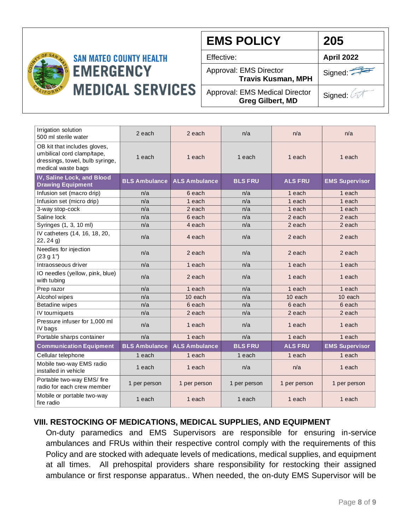

**EMS POLICY** Effective: **April 2022** Approval: EMS Director **Travis Kusman, MPH** Approval: EMS Medical Director **Greg Gilbert, MD** Signed: **205**

Signed: 0

| Irrigation solution<br>500 ml sterile water                                                                         | 2 each               | 2 each               | n/a            | n/a            | n/a                   |
|---------------------------------------------------------------------------------------------------------------------|----------------------|----------------------|----------------|----------------|-----------------------|
| OB kit that includes gloves,<br>umbilical cord clamp/tape,<br>dressings, towel, bulb syringe,<br>medical waste bags | 1 each               | 1 each               | 1 each         | 1 each         | 1 each                |
| IV, Saline Lock, and Blood<br><b>Drawing Equipment</b>                                                              | <b>BLS Ambulance</b> | <b>ALS Ambulance</b> | <b>BLS FRU</b> | <b>ALS FRU</b> | <b>EMS Supervisor</b> |
| Infusion set (macro drip)                                                                                           | n/a                  | 6 each               | n/a            | 1 each         | 1 each                |
| Infusion set (micro drip)                                                                                           | n/a                  | 1 each               | n/a            | 1 each         | 1 each                |
| 3-way stop-cock                                                                                                     | n/a                  | 2 each               | n/a            | 1 each         | 1 each                |
| Saline lock                                                                                                         | n/a                  | 6 each               | n/a            | 2 each         | 2 each                |
| Syringes (1, 3, 10 ml)                                                                                              | n/a                  | 4 each               | n/a            | 2 each         | 2 each                |
| IV catheters (14, 16, 18, 20,<br>22, 24 g                                                                           | n/a                  | 4 each               | n/a            | 2 each         | 2 each                |
| Needles for injection<br>(23 g 1")                                                                                  | n/a                  | 2 each               | n/a            | 2 each         | 2 each                |
| Intraosseous driver                                                                                                 | n/a                  | 1 each               | n/a            | 1 each         | 1 each                |
| IO needles (yellow, pink, blue)<br>with tubing                                                                      | n/a                  | 2 each               | n/a            | 1 each         | 1 each                |
| Prep razor                                                                                                          | n/a                  | 1 each               | n/a            | 1 each         | 1 each                |
| Alcohol wipes                                                                                                       | n/a                  | 10 each              | n/a            | 10 each        | 10 each               |
| <b>Betadine wipes</b>                                                                                               | n/a                  | 6 each               | n/a            | 6 each         | 6 each                |
| IV tourniquets                                                                                                      | n/a                  | 2 each               | n/a            | 2 each         | 2 each                |
| Pressure infuser for 1,000 ml<br>IV bags                                                                            | n/a                  | 1 each               | n/a            | 1 each         | 1 each                |
| Portable sharps container                                                                                           | n/a                  | 1 each               | n/a            | 1 each         | 1 each                |
| <b>Communication Equipment</b>                                                                                      | <b>BLS Ambulance</b> | <b>ALS Ambulance</b> | <b>BLS FRU</b> | <b>ALS FRU</b> | <b>EMS Supervisor</b> |
| Cellular telephone                                                                                                  | 1 each               | 1 each               | 1 each         | 1 each         | 1 each                |
| Mobile two-way EMS radio<br>installed in vehicle                                                                    | 1 each               | 1 each               | n/a            | n/a            | 1 each                |
| Portable two-way EMS/ fire<br>radio for each crew member                                                            | 1 per person         | 1 per person         | 1 per person   | 1 per person   | 1 per person          |
| Mobile or portable two-way<br>fire radio                                                                            | 1 each               | 1 each               | 1 each         | 1 each         | 1 each                |

### **VIII. RESTOCKING OF MEDICATIONS, MEDICAL SUPPLIES, AND EQUIPMENT**

On-duty paramedics and EMS Supervisors are responsible for ensuring in-service ambulances and FRUs within their respective control comply with the requirements of this Policy and are stocked with adequate levels of medications, medical supplies, and equipment at all times. All prehospital providers share responsibility for restocking their assigned ambulance or first response apparatus.. When needed, the on-duty EMS Supervisor will be